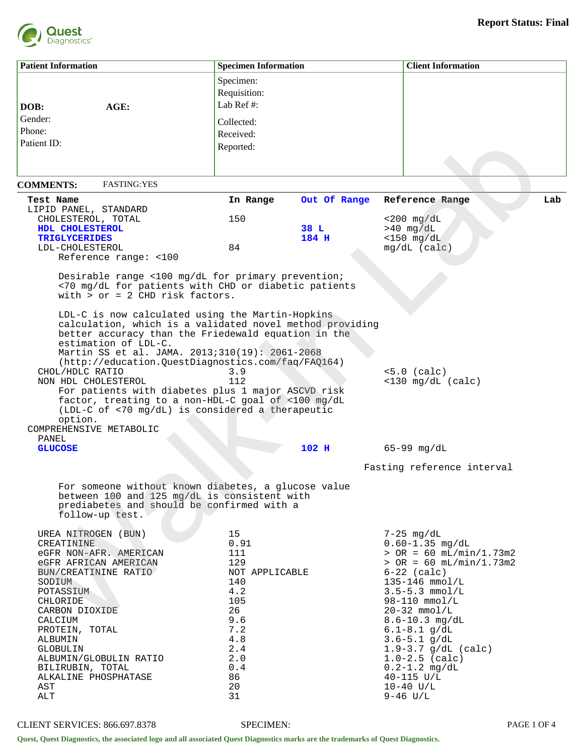

| <b>Patient Information</b>                                     |                                                                                                                                                                                                                                                                                                                                   | <b>Specimen Information</b> |              | <b>Client Information</b>                   |  |  |
|----------------------------------------------------------------|-----------------------------------------------------------------------------------------------------------------------------------------------------------------------------------------------------------------------------------------------------------------------------------------------------------------------------------|-----------------------------|--------------|---------------------------------------------|--|--|
|                                                                |                                                                                                                                                                                                                                                                                                                                   | Specimen:<br>Requisition:   |              |                                             |  |  |
| AGE:<br>DOB:                                                   |                                                                                                                                                                                                                                                                                                                                   | Lab Ref #:                  |              |                                             |  |  |
| Gender:                                                        |                                                                                                                                                                                                                                                                                                                                   | Collected:                  |              |                                             |  |  |
| Phone:                                                         |                                                                                                                                                                                                                                                                                                                                   | Received:                   |              |                                             |  |  |
| Patient ID:                                                    |                                                                                                                                                                                                                                                                                                                                   | Reported:                   |              |                                             |  |  |
|                                                                |                                                                                                                                                                                                                                                                                                                                   |                             |              |                                             |  |  |
| <b>COMMENTS:</b>                                               | <b>FASTING:YES</b>                                                                                                                                                                                                                                                                                                                |                             |              |                                             |  |  |
| Test Name                                                      |                                                                                                                                                                                                                                                                                                                                   | In Range                    | Out Of Range | Reference Range<br>Lab                      |  |  |
| LIPID PANEL, STANDARD<br>CHOLESTEROL, TOTAL                    |                                                                                                                                                                                                                                                                                                                                   | 150                         |              |                                             |  |  |
| HDL CHOLESTEROL                                                |                                                                                                                                                                                                                                                                                                                                   |                             | 38 L         | $<$ 200 mg/dL<br>$>40$ mg/dL                |  |  |
| <b>TRIGLYCERIDES</b>                                           |                                                                                                                                                                                                                                                                                                                                   |                             | 184 H        | $<$ 150 mg/dL                               |  |  |
| LDL-CHOLESTEROL                                                |                                                                                                                                                                                                                                                                                                                                   | 84                          |              | $mg/dL$ (calc)                              |  |  |
| Reference range: <100                                          |                                                                                                                                                                                                                                                                                                                                   |                             |              |                                             |  |  |
|                                                                | Desirable range <100 mg/dL for primary prevention;<br><70 mg/dL for patients with CHD or diabetic patients<br>with $>$ or = 2 CHD risk factors.                                                                                                                                                                                   |                             |              |                                             |  |  |
| estimation of LDL-C.<br>CHOL/HDLC RATIO<br>NON HDL CHOLESTEROL | LDL-C is now calculated using the Martin-Hopkins<br>calculation, which is a validated novel method providing<br>better accuracy than the Friedewald equation in the<br>Martin SS et al. JAMA. 2013;310(19): 2061-2068<br>(http://education.QuestDiagnostics.com/faq/FAQ164)<br>For patients with diabetes plus 1 major ASCVD risk | 3.9<br>112                  |              | $< 5.0$ (calc)<br>$<$ 130 mg/dL (calc)      |  |  |
| option.<br>COMPREHENSIVE METABOLIC                             | factor, treating to a non-HDL-C goal of <100 mg/dL<br>(LDL-C of <70 mg/dL) is considered a therapeutic                                                                                                                                                                                                                            |                             |              |                                             |  |  |
| PANEL<br><b>GLUCOSE</b>                                        |                                                                                                                                                                                                                                                                                                                                   |                             | 102 H        | $65 - 99$ mg/dL                             |  |  |
|                                                                |                                                                                                                                                                                                                                                                                                                                   |                             |              |                                             |  |  |
|                                                                |                                                                                                                                                                                                                                                                                                                                   |                             |              | Fasting reference interval                  |  |  |
| follow-up test.                                                | For someone without known diabetes, a glucose value<br>between 100 and 125 mg/dL is consistent with<br>prediabetes and should be confirmed with a                                                                                                                                                                                 |                             |              |                                             |  |  |
| UREA NITROGEN (BUN)                                            |                                                                                                                                                                                                                                                                                                                                   | 15                          |              | $7-25$ mg/dL                                |  |  |
| CREATININE                                                     |                                                                                                                                                                                                                                                                                                                                   | 0.91                        |              | $0.60 - 1.35$ mg/dL                         |  |  |
| eGFR NON-AFR. AMERICAN                                         |                                                                                                                                                                                                                                                                                                                                   | 111                         |              | $>$ OR = 60 mL/min/1.73m2                   |  |  |
| eGFR AFRICAN AMERICAN<br>BUN/CREATININE RATIO                  |                                                                                                                                                                                                                                                                                                                                   | 129<br>NOT APPLICABLE       |              | $>$ OR = 60 mL/min/1.73m2<br>$6-22$ (calc)  |  |  |
| SODIUM                                                         |                                                                                                                                                                                                                                                                                                                                   | 140                         |              | $135 - 146$ mmol/L                          |  |  |
| POTASSIUM                                                      |                                                                                                                                                                                                                                                                                                                                   | 4.2                         |              | $3.5 - 5.3$ mmol/L                          |  |  |
| CHLORIDE                                                       |                                                                                                                                                                                                                                                                                                                                   | 105                         |              | $98 - 110$ mmol/L                           |  |  |
| CARBON DIOXIDE                                                 |                                                                                                                                                                                                                                                                                                                                   | 26                          |              | $20-32$ mmol/L                              |  |  |
| CALCIUM                                                        |                                                                                                                                                                                                                                                                                                                                   | 9.6                         |              | $8.6 - 10.3$ mg/dL                          |  |  |
| PROTEIN, TOTAL                                                 |                                                                                                                                                                                                                                                                                                                                   | 7.2                         |              | $6.1 - 8.1$ g/dL                            |  |  |
| ALBUMIN<br>GLOBULIN                                            |                                                                                                                                                                                                                                                                                                                                   | 4.8<br>2.4                  |              | $3.6 - 5.1$ g/dL<br>$1.9 - 3.7$ g/dL (calc) |  |  |
| ALBUMIN/GLOBULIN RATIO                                         |                                                                                                                                                                                                                                                                                                                                   | 2.0                         |              | $1.0 - 2.5$ (calc)                          |  |  |
| BILIRUBIN, TOTAL                                               |                                                                                                                                                                                                                                                                                                                                   | 0.4                         |              | $0.2 - 1.2$ mg/dL                           |  |  |
| ALKALINE PHOSPHATASE                                           |                                                                                                                                                                                                                                                                                                                                   | 86                          |              | $40 - 115$ U/L                              |  |  |
| AST                                                            |                                                                                                                                                                                                                                                                                                                                   | 20                          |              | $10 - 40$ U/L                               |  |  |
| ALT                                                            |                                                                                                                                                                                                                                                                                                                                   | 31                          |              | $9-46$ U/L                                  |  |  |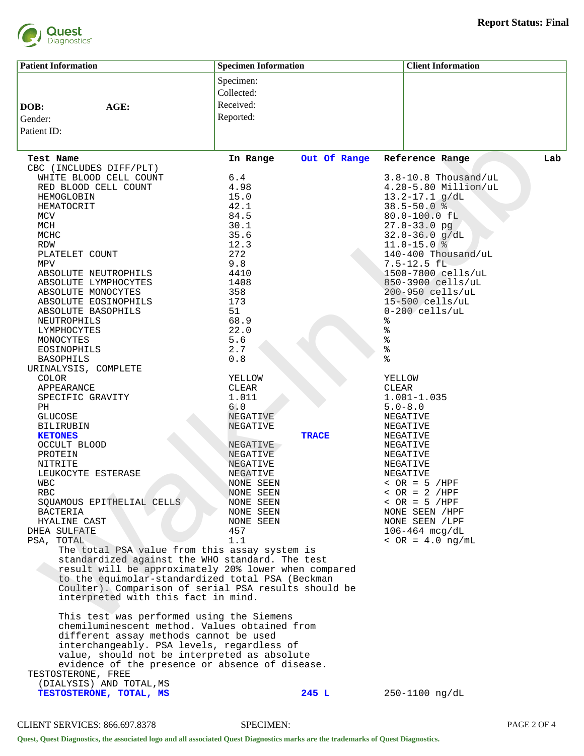

| <b>Patient Information</b>                                                                               | <b>Specimen Information</b> |              | <b>Client Information</b>                            |     |  |
|----------------------------------------------------------------------------------------------------------|-----------------------------|--------------|------------------------------------------------------|-----|--|
|                                                                                                          | Specimen:                   |              |                                                      |     |  |
|                                                                                                          | Collected:                  |              |                                                      |     |  |
| AGE:<br>DOB:                                                                                             | Received:                   |              |                                                      |     |  |
| Gender:                                                                                                  | Reported:                   |              |                                                      |     |  |
| Patient ID:                                                                                              |                             |              |                                                      |     |  |
|                                                                                                          |                             |              |                                                      |     |  |
| Test Name                                                                                                | In Range                    | Out Of Range | Reference Range                                      | Lab |  |
| CBC (INCLUDES DIFF/PLT)                                                                                  |                             |              |                                                      |     |  |
| WHITE BLOOD CELL COUNT<br>RED BLOOD CELL COUNT                                                           | 6.4<br>4.98                 |              | $3.8 - 10.8$ Thousand/uL<br>$4.20 - 5.80$ Million/uL |     |  |
| HEMOGLOBIN                                                                                               | 15.0                        |              | $13.2 - 17.1$ g/dL                                   |     |  |
| HEMATOCRIT                                                                                               | 42.1                        |              | $38.5 - 50.0$ %                                      |     |  |
| MCV                                                                                                      | 84.5                        |              | 80.0-100.0 fL                                        |     |  |
| MCH                                                                                                      | 30.1                        |              | $27.0 - 33.0$ pg                                     |     |  |
| MCHC                                                                                                     | 35.6                        |              | $32.0 - 36.0$ g/dL                                   |     |  |
| RDW                                                                                                      | 12.3                        |              | $11.0 - 15.0$ %                                      |     |  |
| PLATELET COUNT                                                                                           | 272                         |              | 140-400 Thousand/uL                                  |     |  |
| MPV                                                                                                      | 9.8                         |              | $7.5 - 12.5 fL$                                      |     |  |
| ABSOLUTE NEUTROPHILS<br>ABSOLUTE LYMPHOCYTES                                                             | 4410<br>1408                |              | 1500-7800 cells/uL<br>850-3900 cells/uL              |     |  |
| ABSOLUTE MONOCYTES                                                                                       | 358                         |              | 200-950 cells/uL                                     |     |  |
| ABSOLUTE EOSINOPHILS                                                                                     | 173                         |              | $15 - 500$ cells/uL                                  |     |  |
| ABSOLUTE BASOPHILS                                                                                       | 51                          |              | $0-200$ cells/uL                                     |     |  |
| NEUTROPHILS                                                                                              | 68.9                        |              | %                                                    |     |  |
| LYMPHOCYTES                                                                                              | 22.0                        |              | °                                                    |     |  |
| MONOCYTES                                                                                                | 5.6                         |              | ್ಠಿ                                                  |     |  |
| EOSINOPHILS<br><b>BASOPHILS</b>                                                                          | 2.7<br>0.8                  |              | ್ಯ<br>ಠ<br>٩,                                        |     |  |
| URINALYSIS, COMPLETE                                                                                     |                             |              |                                                      |     |  |
| <b>COLOR</b>                                                                                             | YELLOW                      |              | YELLOW                                               |     |  |
| APPEARANCE                                                                                               | CLEAR                       |              | CLEAR                                                |     |  |
| SPECIFIC GRAVITY                                                                                         | 1.011                       |              | $1.001 - 1.035$                                      |     |  |
| PH                                                                                                       | 6.0                         |              | $5.0 - 8.0$                                          |     |  |
| GLUCOSE                                                                                                  | NEGATIVE                    |              | NEGATIVE                                             |     |  |
| BILIRUBIN<br><b>KETONES</b>                                                                              | NEGATIVE                    | <b>TRACE</b> | NEGATIVE<br>NEGATIVE                                 |     |  |
| OCCULT BLOOD                                                                                             | NEGATIVE                    |              | NEGATIVE                                             |     |  |
| PROTEIN                                                                                                  | NEGATIVE                    |              | NEGATIVE                                             |     |  |
| NITRITE                                                                                                  | NEGATIVE                    |              | NEGATIVE                                             |     |  |
| LEUKOCYTE ESTERASE                                                                                       | NEGATIVE                    |              | NEGATIVE                                             |     |  |
| WBC                                                                                                      | NONE SEEN                   |              | $~<$ OR = 5 /HPF                                     |     |  |
| RBC                                                                                                      | NONE SEEN                   |              | $~<$ OR = 2 /HPF<br>$~<$ OR = 5 /HPF                 |     |  |
| SQUAMOUS EPITHELIAL CELLS<br><b>BACTERIA</b>                                                             | NONE SEEN<br>NONE SEEN      |              | NONE SEEN / HPF                                      |     |  |
| HYALINE CAST                                                                                             | NONE SEEN                   |              | NONE SEEN / LPF                                      |     |  |
| DHEA SULFATE                                                                                             | 457                         |              | $106 - 464$ mcg/dL                                   |     |  |
| PSA, TOTAL                                                                                               | 1.1                         |              | $~<$ OR = 4.0 ng/mL                                  |     |  |
| The total PSA value from this assay system is                                                            |                             |              |                                                      |     |  |
| standardized against the WHO standard. The test                                                          |                             |              |                                                      |     |  |
| result will be approximately 20% lower when compared<br>to the equimolar-standardized total PSA (Beckman |                             |              |                                                      |     |  |
| Coulter). Comparison of serial PSA results should be                                                     |                             |              |                                                      |     |  |
| interpreted with this fact in mind.                                                                      |                             |              |                                                      |     |  |
| This test was performed using the Siemens                                                                |                             |              |                                                      |     |  |
| chemiluminescent method. Values obtained from                                                            |                             |              |                                                      |     |  |
| different assay methods cannot be used                                                                   |                             |              |                                                      |     |  |
| interchangeably. PSA levels, regardless of                                                               |                             |              |                                                      |     |  |
| value, should not be interpreted as absolute                                                             |                             |              |                                                      |     |  |
| evidence of the presence or absence of disease.<br>TESTOSTERONE, FREE                                    |                             |              |                                                      |     |  |
| (DIALYSIS) AND TOTAL, MS                                                                                 |                             |              |                                                      |     |  |
| TESTOSTERONE, TOTAL, MS                                                                                  |                             | 245 L        | $250 - 1100$ ng/dL                                   |     |  |
|                                                                                                          |                             |              |                                                      |     |  |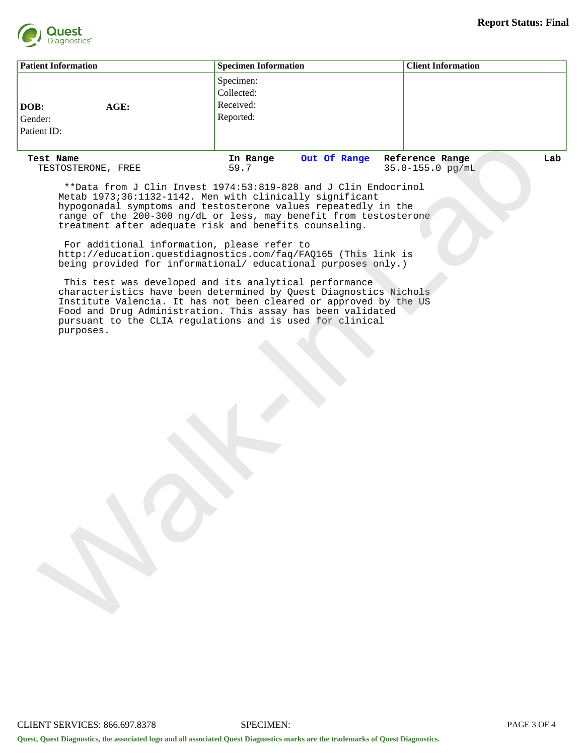

| <b>Patient Information</b>             | <b>Specimen Information</b>                       | <b>Client Information</b> |
|----------------------------------------|---------------------------------------------------|---------------------------|
| DOB:<br>AGE:<br>Gender:<br>Patient ID: | Specimen:<br>Collected:<br>Received:<br>Reported: |                           |

TESTOSTERONE, FREE

**Test Name In Range Out Of Range Reference Range Lab**

 \*\*Data from J Clin Invest 1974:53:819-828 and J Clin Endocrinol Metab 1973;36:1132-1142. Men with clinically significant hypogonadal symptoms and testosterone values repeatedly in the range of the 200-300 ng/dL or less, may benefit from testosterone treatment after adequate risk and benefits counseling.

 For additional information, please refer to http://education.questdiagnostics.com/faq/FAQ165 (This link is being provided for informational/ educational purposes only.)

 This test was developed and its analytical performance characteristics have been determined by Quest Diagnostics Nichols Institute Valencia. It has not been cleared or approved by the US Food and Drug Administration. This assay has been validated pursuant to the CLIA regulations and is used for clinical purposes. Away Research Mann Control of Mann Control of Mann Control of Mann Control of Mann Control of Mann Control of Mann Control of Mann Control of Mann Control of Mann Control of Mann Control of Mann Control of Mann Control of